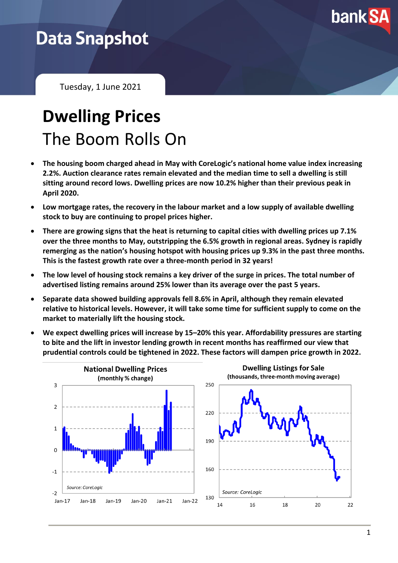

## **Data Snapshot**

Tuesday, 1 June 2021

# **Dwelling Prices** The Boom Rolls On

- **The housing boom charged ahead in May with CoreLogic's national home value index increasing 2.2%. Auction clearance rates remain elevated and the median time to sell a dwelling is still sitting around record lows. Dwelling prices are now 10.2% higher than their previous peak in April 2020.**
- **Low mortgage rates, the recovery in the labour market and a low supply of available dwelling stock to buy are continuing to propel prices higher.**
- **There are growing signs that the heat is returning to capital cities with dwelling prices up 7.1% over the three months to May, outstripping the 6.5% growth in regional areas. Sydney is rapidly remerging as the nation's housing hotspot with housing prices up 9.3% in the past three months. This is the fastest growth rate over a three-month period in 32 years!**
- **The low level of housing stock remains a key driver of the surge in prices. The total number of advertised listing remains around 25% lower than its average over the past 5 years.**
- **Separate data showed building approvals fell 8.6% in April, although they remain elevated relative to historical levels. However, it will take some time for sufficient supply to come on the market to materially lift the housing stock.**
- **We expect dwelling prices will increase by 15–20% this year. Affordability pressures are starting to bite and the lift in investor lending growth in recent months has reaffirmed our view that prudential controls could be tightened in 2022. These factors will dampen price growth in 2022.**

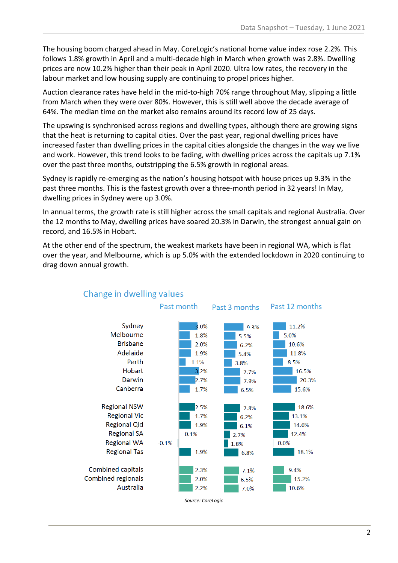The housing boom charged ahead in May. CoreLogic's national home value index rose 2.2%. This follows 1.8% growth in April and a multi-decade high in March when growth was 2.8%. Dwelling prices are now 10.2% higher than their peak in April 2020. Ultra low rates, the recovery in the labour market and low housing supply are continuing to propel prices higher.

Auction clearance rates have held in the mid-to-high 70% range throughout May, slipping a little from March when they were over 80%. However, this is still well above the decade average of 64%. The median time on the market also remains around its record low of 25 days.

The upswing is synchronised across regions and dwelling types, although there are growing signs that the heat is returning to capital cities. Over the past year, regional dwelling prices have increased faster than dwelling prices in the capital cities alongside the changes in the way we live and work. However, this trend looks to be fading, with dwelling prices across the capitals up 7.1% over the past three months, outstripping the 6.5% growth in regional areas.

Sydney is rapidly re-emerging as the nation's housing hotspot with house prices up 9.3% in the past three months. This is the fastest growth over a three-month period in 32 years! In May, dwelling prices in Sydney were up 3.0%.

In annual terms, the growth rate is still higher across the small capitals and regional Australia. Over the 12 months to May, dwelling prices have soared 20.3% in Darwin, the strongest annual gain on record, and 16.5% in Hobart.

At the other end of the spectrum, the weakest markets have been in regional WA, which is flat over the year, and Melbourne, which is up 5.0% with the extended lockdown in 2020 continuing to drag down annual growth.



#### Change in dwelling values

2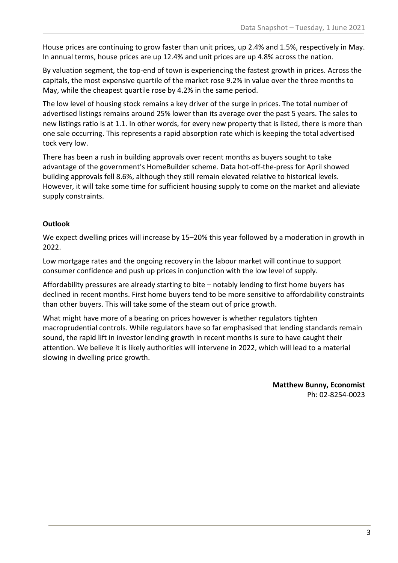House prices are continuing to grow faster than unit prices, up 2.4% and 1.5%, respectively in May. In annual terms, house prices are up 12.4% and unit prices are up 4.8% across the nation.

By valuation segment, the top-end of town is experiencing the fastest growth in prices. Across the capitals, the most expensive quartile of the market rose 9.2% in value over the three months to May, while the cheapest quartile rose by 4.2% in the same period.

The low level of housing stock remains a key driver of the surge in prices. The total number of advertised listings remains around 25% lower than its average over the past 5 years. The sales to new listings ratio is at 1.1. In other words, for every new property that is listed, there is more than one sale occurring. This represents a rapid absorption rate which is keeping the total advertised tock very low.

There has been a rush in building approvals over recent months as buyers sought to take advantage of the government's HomeBuilder scheme. Data hot-off-the-press for April showed building approvals fell 8.6%, although they still remain elevated relative to historical levels. However, it will take some time for sufficient housing supply to come on the market and alleviate supply constraints.

#### **Outlook**

We expect dwelling prices will increase by 15–20% this year followed by a moderation in growth in 2022.

Low mortgage rates and the ongoing recovery in the labour market will continue to support consumer confidence and push up prices in conjunction with the low level of supply.

Affordability pressures are already starting to bite – notably lending to first home buyers has declined in recent months. First home buyers tend to be more sensitive to affordability constraints than other buyers. This will take some of the steam out of price growth.

What might have more of a bearing on prices however is whether regulators tighten macroprudential controls. While regulators have so far emphasised that lending standards remain sound, the rapid lift in investor lending growth in recent months is sure to have caught their attention. We believe it is likely authorities will intervene in 2022, which will lead to a material slowing in dwelling price growth.

> **Matthew Bunny, Economist** Ph: 02-8254-0023